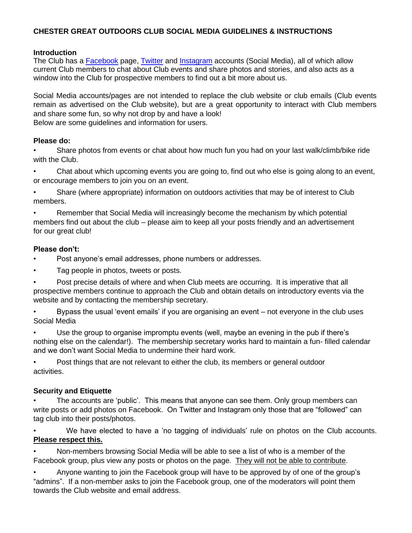# **CHESTER GREAT OUTDOORS CLUB SOCIAL MEDIA GUIDELINES & INSTRUCTIONS**

#### **Introduction**

The Club has a [Facebook](https://www.facebook.com/groups/59150747192/) page, [Twitter](https://twitter.com/chesteroutdoor) and [Instagram](https://www.instagram.com/accounts/login/?next=/chestergreatoutdoors/) accounts (Social Media), all of which allow current Club members to chat about Club events and share photos and stories, and also acts as a window into the Club for prospective members to find out a bit more about us.

Social Media accounts/pages are not intended to replace the club website or club emails (Club events remain as advertised on the Club website), but are a great opportunity to interact with Club members and share some fun, so why not drop by and have a look! Below are some guidelines and information for users.

#### **Please do:**

• Share photos from events or chat about how much fun you had on your last walk/climb/bike ride with the Club.

• Chat about which upcoming events you are going to, find out who else is going along to an event, or encourage members to join you on an event.

• Share (where appropriate) information on outdoors activities that may be of interest to Club members.

• Remember that Social Media will increasingly become the mechanism by which potential members find out about the club – please aim to keep all your posts friendly and an advertisement for our great club!

## **Please don't:**

- Post anyone's email addresses, phone numbers or addresses.
- Tag people in photos, tweets or posts.

• Post precise details of where and when Club meets are occurring. It is imperative that all prospective members continue to approach the Club and obtain details on introductory events via the website and by contacting the membership secretary.

• Bypass the usual 'event emails' if you are organising an event – not everyone in the club uses Social Media

Use the group to organise impromptu events (well, maybe an evening in the pub if there's nothing else on the calendar!). The membership secretary works hard to maintain a fun- filled calendar and we don't want Social Media to undermine their hard work.

• Post things that are not relevant to either the club, its members or general outdoor activities.

#### **Security and Etiquette**

The accounts are 'public'. This means that anyone can see them. Only group members can write posts or add photos on Facebook. On Twitter and Instagram only those that are "followed" can tag club into their posts/photos.

• We have elected to have a 'no tagging of individuals' rule on photos on the Club accounts. **Please respect this.** 

• Non-members browsing Social Media will be able to see a list of who is a member of the Facebook group, plus view any posts or photos on the page. They will not be able to contribute.

• Anyone wanting to join the Facebook group will have to be approved by of one of the group's "admins". If a non-member asks to join the Facebook group, one of the moderators will point them towards the Club website and email address.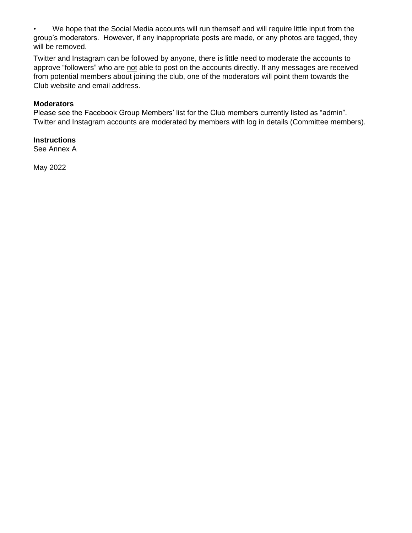• We hope that the Social Media accounts will run themself and will require little input from the group's moderators. However, if any inappropriate posts are made, or any photos are tagged, they will be removed.

Twitter and Instagram can be followed by anyone, there is little need to moderate the accounts to approve "followers" who are not able to post on the accounts directly. If any messages are received from potential members about joining the club, one of the moderators will point them towards the Club website and email address.

#### **Moderators**

Please see the Facebook Group Members' list for the Club members currently listed as "admin". Twitter and Instagram accounts are moderated by members with log in details (Committee members).

#### **Instructions**

See Annex A

May 2022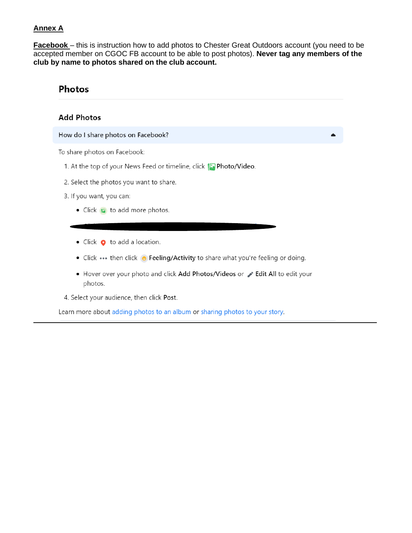## **Annex A**

**Facebook** – this is instruction how to add photos to Chester Great Outdoors account (you need to be accepted member on CGOC FB account to be able to post photos). Never tag any members of the club by name to photos shared on the club account.

# **Photos**

#### **Add Photos**

#### How do I share photos on Facebook?

To share photos on Facebook:

- 1. At the top of your News Feed or timeline, click [C Photo/Video.
- 2. Select the photos you want to share.
- 3. If you want, you can:
	- Click **B** to add more photos.
	- Click  $\bullet$  to add a location.
	- Click ••• then click  $\Theta$  Feeling/Activity to share what you're feeling or doing.
	- Hover over your photo and click Add Photos/Videos or > Edit All to edit your photos.
- 4. Select your audience, then click Post.

Learn more about adding photos to an album or sharing photos to your story.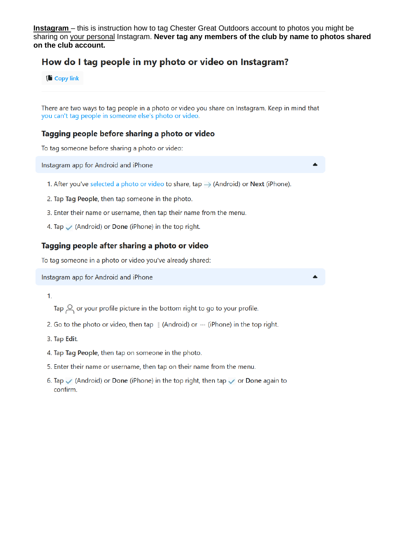**Instagram** – this is instruction how to tag Chester Great Outdoors account to photos you might be sharing on your personal Instagram. Never tag any members of the club by name to photos shared on the club account.

# How do I tag people in my photo or video on Instagram?

**ID** Copy link

There are two ways to tag people in a photo or video you share on Instagram. Keep in mind that you can't tag people in someone else's photo or video.

#### Tagging people before sharing a photo or video

To tag someone before sharing a photo or video:

Instagram app for Android and iPhone

- 1. After you've selected a photo or video to share, tap  $\rightarrow$  (Android) or Next (iPhone).
- 2. Tap Tag People, then tap someone in the photo.
- 3. Enter their name or username, then tap their name from the menu.
- 4. Tap  $\sqrt$  (Android) or Done (iPhone) in the top right.

#### Tagging people after sharing a photo or video

To tag someone in a photo or video you've already shared:

Instagram app for Android and iPhone

 $1<sub>1</sub>$ 

- Tap  $\subseteq$  or your profile picture in the bottom right to go to your profile.
- 2. Go to the photo or video, then tap  $\frac{1}{2}$  (Android) or  $\cdots$  (iPhone) in the top right.
- 3. Tap Edit.
- 4. Tap Tag People, then tap on someone in the photo.
- 5. Enter their name or username, then tap on their name from the menu.
- 6. Tap  $\checkmark$  (Android) or Done (iPhone) in the top right, then tap  $\checkmark$  or Done again to confirm.